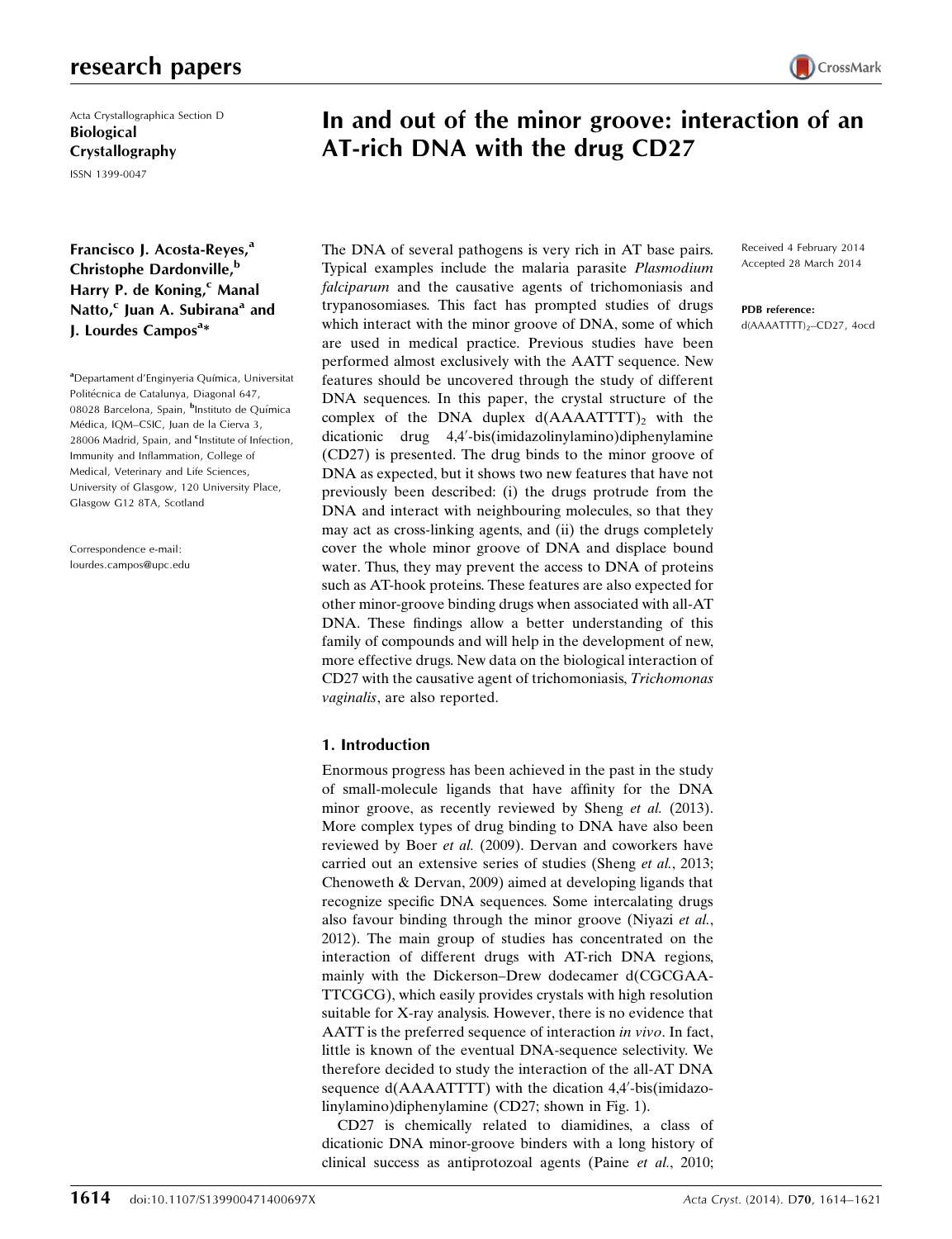# research papers

Acta Crystallographica Section D Biological Crystallography ISSN 1399-0047

Francisco J. Acosta-Reyes,<sup>a</sup> Christophe Dardonville,<sup>b</sup> Harry P. de Koning,<sup>c</sup> Manal Natto, $c$  Juan A. Subirana<sup>a</sup> and J. Lourdes Campos<sup>a\*</sup>

aDepartament d'Enginyeria Química, Universitat Politécnica de Catalunya, Diagonal 647, 08028 Barcelona, Spain, <sup>b</sup>Instituto de Química Médica, IQM-CSIC, Juan de la Cierva 3, 28006 Madrid, Spain, and <sup>c</sup>Institute of Infection, Immunity and Inflammation, College of Medical, Veterinary and Life Sciences, University of Glasgow, 120 University Place, Glasgow G12 8TA, Scotland

Correspondence e-mail: lourdes.campos@upc.edu In and out of the minor groove: interaction of an AT-rich DNA with the drug CD27

The DNA of several pathogens is very rich in AT base pairs. Typical examples include the malaria parasite Plasmodium falciparum and the causative agents of trichomoniasis and trypanosomiases. This fact has prompted studies of drugs which interact with the minor groove of DNA, some of which are used in medical practice. Previous studies have been performed almost exclusively with the AATT sequence. New features should be uncovered through the study of different DNA sequences. In this paper, the crystal structure of the complex of the DNA duplex  $d(AAAATTTT)_2$  with the dicationic drug 4,4'-bis(imidazolinylamino)diphenylamine (CD27) is presented. The drug binds to the minor groove of DNA as expected, but it shows two new features that have not previously been described: (i) the drugs protrude from the DNA and interact with neighbouring molecules, so that they may act as cross-linking agents, and (ii) the drugs completely cover the whole minor groove of DNA and displace bound water. Thus, they may prevent the access to DNA of proteins such as AT-hook proteins. These features are also expected for other minor-groove binding drugs when associated with all-AT DNA. These findings allow a better understanding of this family of compounds and will help in the development of new, more effective drugs. New data on the biological interaction of CD27 with the causative agent of trichomoniasis, Trichomonas vaginalis, are also reported.

# 1. Introduction

Enormous progress has been achieved in the past in the study of small-molecule ligands that have affinity for the DNA minor groove, as recently reviewed by Sheng et al. (2013). More complex types of drug binding to DNA have also been reviewed by Boer et al. (2009). Dervan and coworkers have carried out an extensive series of studies (Sheng et al., 2013; Chenoweth & Dervan, 2009) aimed at developing ligands that recognize specific DNA sequences. Some intercalating drugs also favour binding through the minor groove (Niyazi et al., 2012). The main group of studies has concentrated on the interaction of different drugs with AT-rich DNA regions, mainly with the Dickerson–Drew dodecamer d(CGCGAA-TTCGCG), which easily provides crystals with high resolution suitable for X-ray analysis. However, there is no evidence that AATT is the preferred sequence of interaction in vivo. In fact, little is known of the eventual DNA-sequence selectivity. We therefore decided to study the interaction of the all-AT DNA sequence d(AAAATTTT) with the dication 4,4'-bis(imidazolinylamino)diphenylamine (CD27; shown in Fig. 1).

CD27 is chemically related to diamidines, a class of dicationic DNA minor-groove binders with a long history of clinical success as antiprotozoal agents (Paine et al., 2010; Received 4 February 2014 Accepted 28 March 2014

## PDB reference:

d(AAAATTTT)<sub>2</sub>-CD27, 4ocd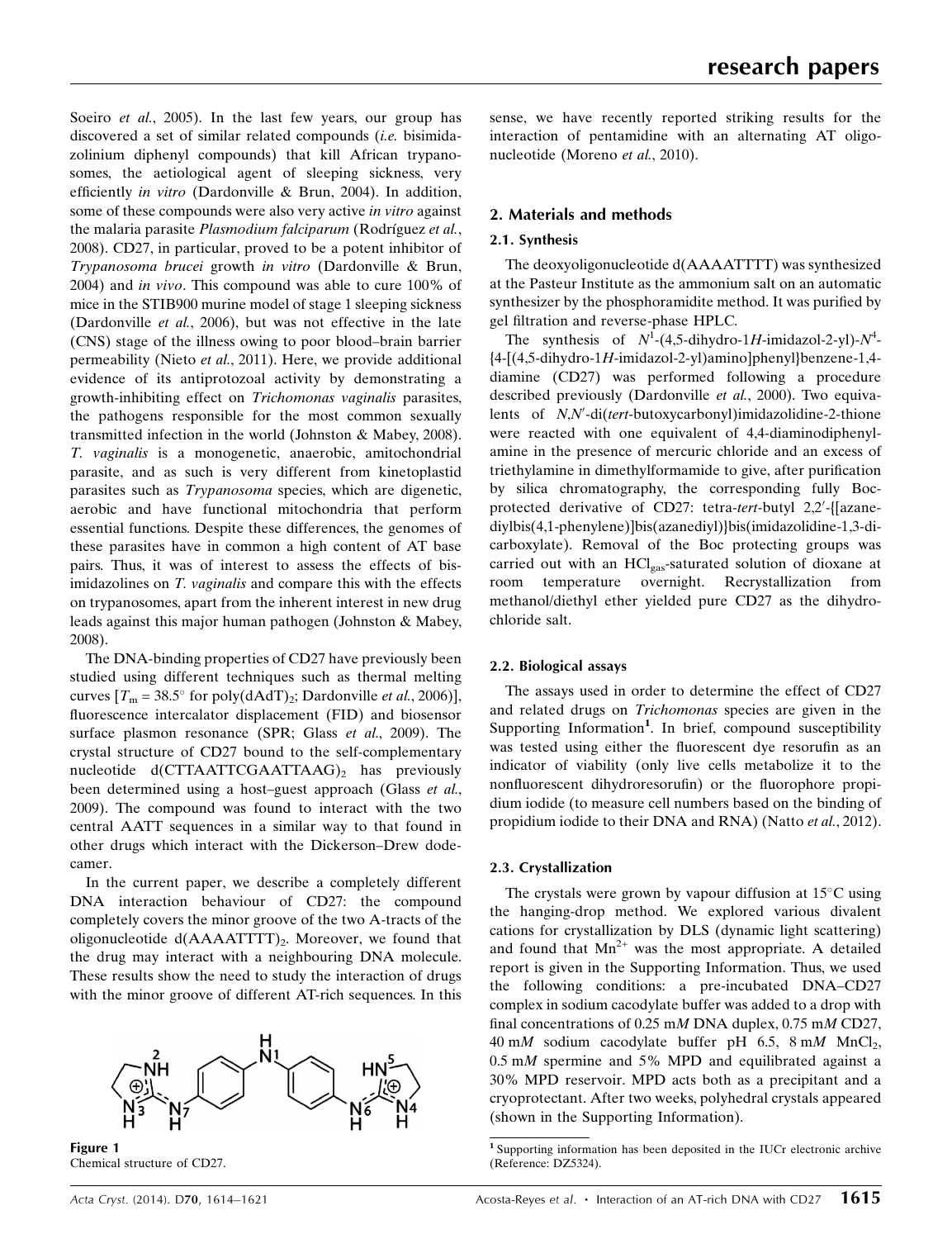Soeiro *et al.*, 2005). In the last few years, our group has discovered a set of similar related compounds (i.e. bisimidazolinium diphenyl compounds) that kill African trypanosomes, the aetiological agent of sleeping sickness, very efficiently in vitro (Dardonville & Brun, 2004). In addition, some of these compounds were also very active *in vitro* against the malaria parasite Plasmodium falciparum (Rodríguez et al., 2008). CD27, in particular, proved to be a potent inhibitor of Trypanosoma brucei growth in vitro (Dardonville & Brun, 2004) and in vivo. This compound was able to cure 100% of mice in the STIB900 murine model of stage 1 sleeping sickness (Dardonville et al., 2006), but was not effective in the late (CNS) stage of the illness owing to poor blood–brain barrier permeability (Nieto et al., 2011). Here, we provide additional evidence of its antiprotozoal activity by demonstrating a growth-inhibiting effect on Trichomonas vaginalis parasites, the pathogens responsible for the most common sexually transmitted infection in the world (Johnston & Mabey, 2008). T. vaginalis is a monogenetic, anaerobic, amitochondrial parasite, and as such is very different from kinetoplastid parasites such as Trypanosoma species, which are digenetic, aerobic and have functional mitochondria that perform essential functions. Despite these differences, the genomes of these parasites have in common a high content of AT base pairs. Thus, it was of interest to assess the effects of bisimidazolines on T. *vaginalis* and compare this with the effects on trypanosomes, apart from the inherent interest in new drug leads against this major human pathogen (Johnston & Mabey, 2008).

The DNA-binding properties of CD27 have previously been studied using different techniques such as thermal melting curves  $[T_m = 38.5^\circ \text{ for poly}(dAdT)_2; \text{Dardonville } et \text{ al., } 2006)$ ], fluorescence intercalator displacement (FID) and biosensor surface plasmon resonance (SPR; Glass et al., 2009). The crystal structure of CD27 bound to the self-complementary nucleotide d(CTTAATTCGAATTAAG)<sub>2</sub> has previously been determined using a host–guest approach (Glass et al., 2009). The compound was found to interact with the two central AATT sequences in a similar way to that found in other drugs which interact with the Dickerson–Drew dodecamer.

In the current paper, we describe a completely different DNA interaction behaviour of CD27: the compound completely covers the minor groove of the two A-tracts of the oligonucleotide  $d(AAAATTTT)_2$ . Moreover, we found that the drug may interact with a neighbouring DNA molecule. These results show the need to study the interaction of drugs with the minor groove of different AT-rich sequences. In this

Figure 1 Chemical structure of CD27.

sense, we have recently reported striking results for the interaction of pentamidine with an alternating AT oligonucleotide (Moreno et al., 2010).

## 2. Materials and methods

# 2.1. Synthesis

The deoxyoligonucleotide d(AAAATTTT) was synthesized at the Pasteur Institute as the ammonium salt on an automatic synthesizer by the phosphoramidite method. It was purified by gel filtration and reverse-phase HPLC.

The synthesis of  $N^1$ -(4,5-dihydro-1H-imidazol-2-yl)- $N^4$ - ${4-[4,5-dihydro-1H-imidazol-2-vl)amino]phenyl}benzene-1,4$ diamine (CD27) was performed following a procedure described previously (Dardonville et al., 2000). Two equivalents of N,N'-di(tert-butoxycarbonyl)imidazolidine-2-thione were reacted with one equivalent of 4,4-diaminodiphenylamine in the presence of mercuric chloride and an excess of triethylamine in dimethylformamide to give, after purification by silica chromatography, the corresponding fully Bocprotected derivative of CD27: tetra-tert-butyl 2,2'-{[azanediylbis(4,1-phenylene)]bis(azanediyl)}bis(imidazolidine-1,3-dicarboxylate). Removal of the Boc protecting groups was carried out with an HCl<sub>gas</sub>-saturated solution of dioxane at room temperature overnight. Recrystallization from methanol/diethyl ether yielded pure CD27 as the dihydrochloride salt.

## 2.2. Biological assays

The assays used in order to determine the effect of CD27 and related drugs on Trichomonas species are given in the Supporting Information<sup>1</sup>. In brief, compound susceptibility was tested using either the fluorescent dye resorufin as an indicator of viability (only live cells metabolize it to the nonfluorescent dihydroresorufin) or the fluorophore propidium iodide (to measure cell numbers based on the binding of propidium iodide to their DNA and RNA) (Natto et al., 2012).

## 2.3. Crystallization

The crystals were grown by vapour diffusion at  $15^{\circ}$ C using the hanging-drop method. We explored various divalent cations for crystallization by DLS (dynamic light scattering) and found that  $Mn^{2+}$  was the most appropriate. A detailed report is given in the Supporting Information. Thus, we used the following conditions: a pre-incubated DNA–CD27 complex in sodium cacodylate buffer was added to a drop with final concentrations of 0.25 mM DNA duplex, 0.75 mM CD27, 40 mM sodium cacodylate buffer pH 6.5, 8 mM MnCl<sub>2</sub>,  $0.5$  mM spermine and 5% MPD and equilibrated against a 30% MPD reservoir. MPD acts both as a precipitant and a cryoprotectant. After two weeks, polyhedral crystals appeared (shown in the Supporting Information).

<sup>1</sup> Supporting information has been deposited in the IUCr electronic archive (Reference: DZ5324).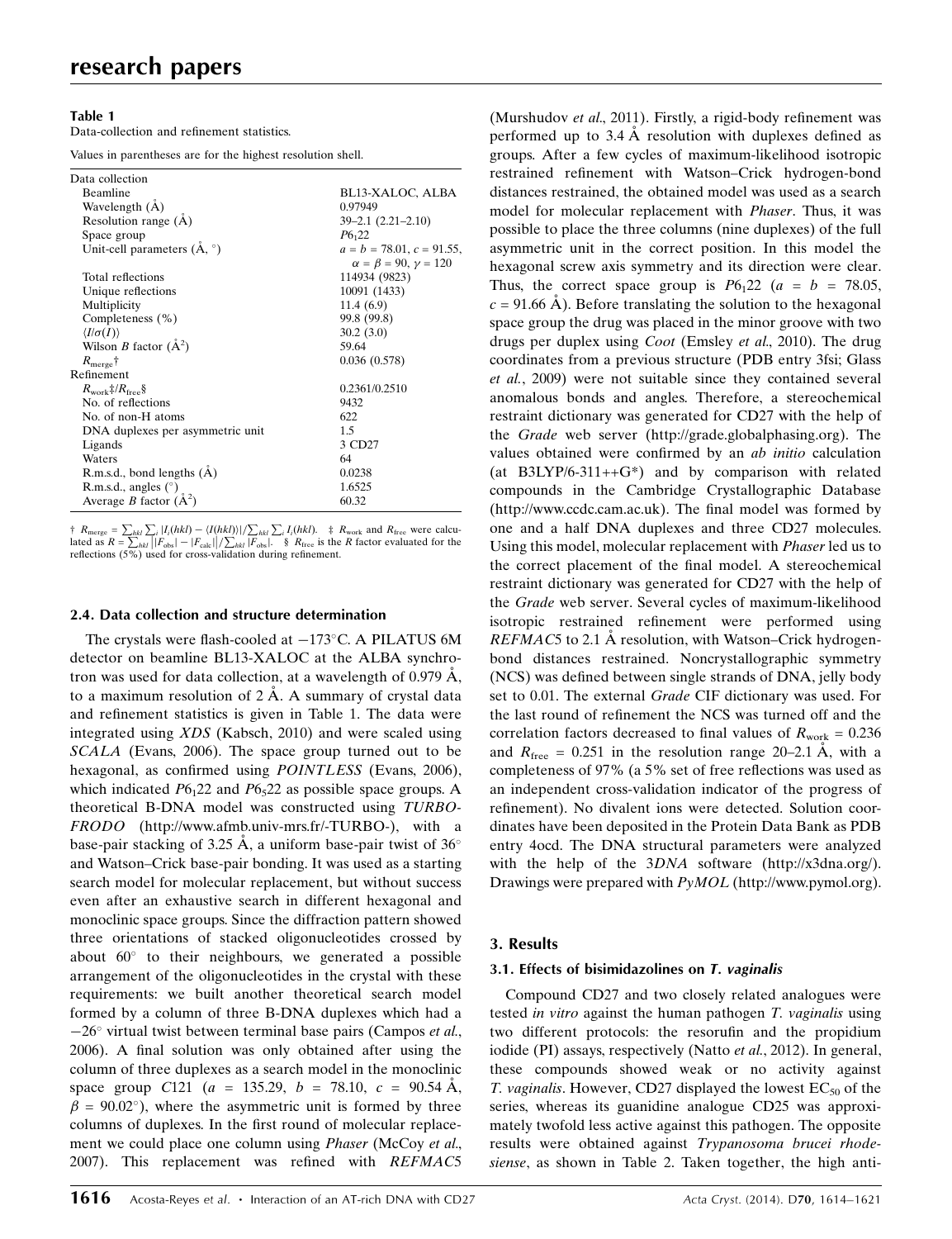## Table 1

Data-collection and refinement statistics.

Values in parentheses are for the highest resolution shell.

| Data collection                         |                                     |
|-----------------------------------------|-------------------------------------|
| Beamline                                | BL13-XALOC, ALBA                    |
| Wavelength (A)                          | 0.97949                             |
| Resolution range (A)                    | $39 - 2.1$ $(2.21 - 2.10)$          |
| Space group                             | $P6_{1}22$                          |
| Unit-cell parameters $(A, \circ)$       | $a = b = 78.01, c = 91.55,$         |
|                                         | $\alpha = \beta = 90, \gamma = 120$ |
| Total reflections                       | 114934 (9823)                       |
| Unique reflections                      | 10091 (1433)                        |
| Multiplicity                            | 11.4(6.9)                           |
| Completeness (%)                        | 99.8 (99.8)                         |
| $\langle I/\sigma(I)\rangle$            | 30.2(3.0)                           |
| Wilson <i>B</i> factor $(A^2)$          | 59.64                               |
| $R_{\text{merge}}\dagger$               | 0.036(0.578)                        |
| Refinement                              |                                     |
| $R_{work}$ $\frac{1}{2}$ / $R_{free}$ § | 0.2361/0.2510                       |
| No. of reflections                      | 9432                                |
| No. of non-H atoms                      | 622                                 |
| DNA duplexes per asymmetric unit        | 1.5                                 |
| Ligands                                 | 3 CD27                              |
| Waters                                  | 64                                  |
| R.m.s.d., bond lengths (A)              | 0.0238                              |
| R.m.s.d., angles $(^\circ)$             | 1.6525                              |
| Average <i>B</i> factor $(\dot{A}^2)$   | 60.32                               |
|                                         |                                     |

†  $R_{\text{merge}} = \sum_{hkl} \sum_i |I_i(hkl) - \langle I(hkl) \rangle| / \sum_{hkl} \sum_i I_i(hkl).$  ‡  $R_{\text{work}}$  and  $R_{\text{free}}$  were calculated as  $R = \sum_{hkl} |[F_{\text{obs}}] - |F_{\text{calc}}|] / \sum_{hkl} |F_{\text{obs}}|$ . §  $R_{\text{free}}$  is the *R* factor evaluated for the reflections (5%) used for

#### 2.4. Data collection and structure determination

The crystals were flash-cooled at  $-173^{\circ}$ C. A PILATUS 6M detector on beamline BL13-XALOC at the ALBA synchrotron was used for data collection, at a wavelength of  $0.979 \text{ Å}$ , to a maximum resolution of  $2 \text{ Å}$ . A summary of crystal data and refinement statistics is given in Table 1. The data were integrated using XDS (Kabsch, 2010) and were scaled using SCALA (Evans, 2006). The space group turned out to be hexagonal, as confirmed using POINTLESS (Evans, 2006), which indicated  $P6<sub>1</sub>22$  and  $P6<sub>5</sub>22$  as possible space groups. A theoretical B-DNA model was constructed using TURBO-FRODO (http://www.afmb.univ-mrs.fr/-TURBO-), with a base-pair stacking of 3.25 Å, a uniform base-pair twist of 36 $^{\circ}$ and Watson–Crick base-pair bonding. It was used as a starting search model for molecular replacement, but without success even after an exhaustive search in different hexagonal and monoclinic space groups. Since the diffraction pattern showed three orientations of stacked oligonucleotides crossed by about  $60^{\circ}$  to their neighbours, we generated a possible arrangement of the oligonucleotides in the crystal with these requirements: we built another theoretical search model formed by a column of three B-DNA duplexes which had a  $-26^{\circ}$  virtual twist between terminal base pairs (Campos et al., 2006). A final solution was only obtained after using the column of three duplexes as a search model in the monoclinic space group C121 (a = 135.29, b = 78.10, c = 90.54  $\AA$ ,  $\beta = 90.02^{\circ}$ ), where the asymmetric unit is formed by three columns of duplexes. In the first round of molecular replacement we could place one column using *Phaser* (McCoy *et al.*, 2007). This replacement was refined with REFMAC5 (Murshudov et al., 2011). Firstly, a rigid-body refinement was performed up to  $3.4 \text{ Å}$  resolution with duplexes defined as groups. After a few cycles of maximum-likelihood isotropic restrained refinement with Watson–Crick hydrogen-bond distances restrained, the obtained model was used as a search model for molecular replacement with Phaser. Thus, it was possible to place the three columns (nine duplexes) of the full asymmetric unit in the correct position. In this model the hexagonal screw axis symmetry and its direction were clear. Thus, the correct space group is  $P6<sub>1</sub>22$  (a = b = 78.05,  $c = 91.66$  Å). Before translating the solution to the hexagonal space group the drug was placed in the minor groove with two drugs per duplex using Coot (Emsley et al., 2010). The drug coordinates from a previous structure (PDB entry 3fsi; Glass et al., 2009) were not suitable since they contained several anomalous bonds and angles. Therefore, a stereochemical restraint dictionary was generated for CD27 with the help of the Grade web server (http://grade.globalphasing.org). The values obtained were confirmed by an ab initio calculation (at B3LYP/6-311++ $G^*$ ) and by comparison with related compounds in the Cambridge Crystallographic Database (http://www.ccdc.cam.ac.uk). The final model was formed by one and a half DNA duplexes and three CD27 molecules. Using this model, molecular replacement with Phaser led us to the correct placement of the final model. A stereochemical restraint dictionary was generated for CD27 with the help of the Grade web server. Several cycles of maximum-likelihood isotropic restrained refinement were performed using REFMAC5 to 2.1  $\AA$  resolution, with Watson–Crick hydrogenbond distances restrained. Noncrystallographic symmetry (NCS) was defined between single strands of DNA, jelly body set to 0.01. The external Grade CIF dictionary was used. For the last round of refinement the NCS was turned off and the correlation factors decreased to final values of  $R_{work} = 0.236$ and  $R_{\text{free}} = 0.251$  in the resolution range 20–2.1 A, with a completeness of 97% (a 5% set of free reflections was used as an independent cross-validation indicator of the progress of refinement). No divalent ions were detected. Solution coordinates have been deposited in the Protein Data Bank as PDB entry 4ocd. The DNA structural parameters were analyzed with the help of the 3DNA software (http://x3dna.org/). Drawings were prepared with PyMOL (http://www.pymol.org).

## 3. Results

## 3.1. Effects of bisimidazolines on T. vaginalis

Compound CD27 and two closely related analogues were tested in vitro against the human pathogen T. vaginalis using two different protocols: the resorufin and the propidium iodide (PI) assays, respectively (Natto et al., 2012). In general, these compounds showed weak or no activity against T. vaginalis. However, CD27 displayed the lowest  $EC_{50}$  of the series, whereas its guanidine analogue CD25 was approximately twofold less active against this pathogen. The opposite results were obtained against Trypanosoma brucei rhodesiense, as shown in Table 2. Taken together, the high anti-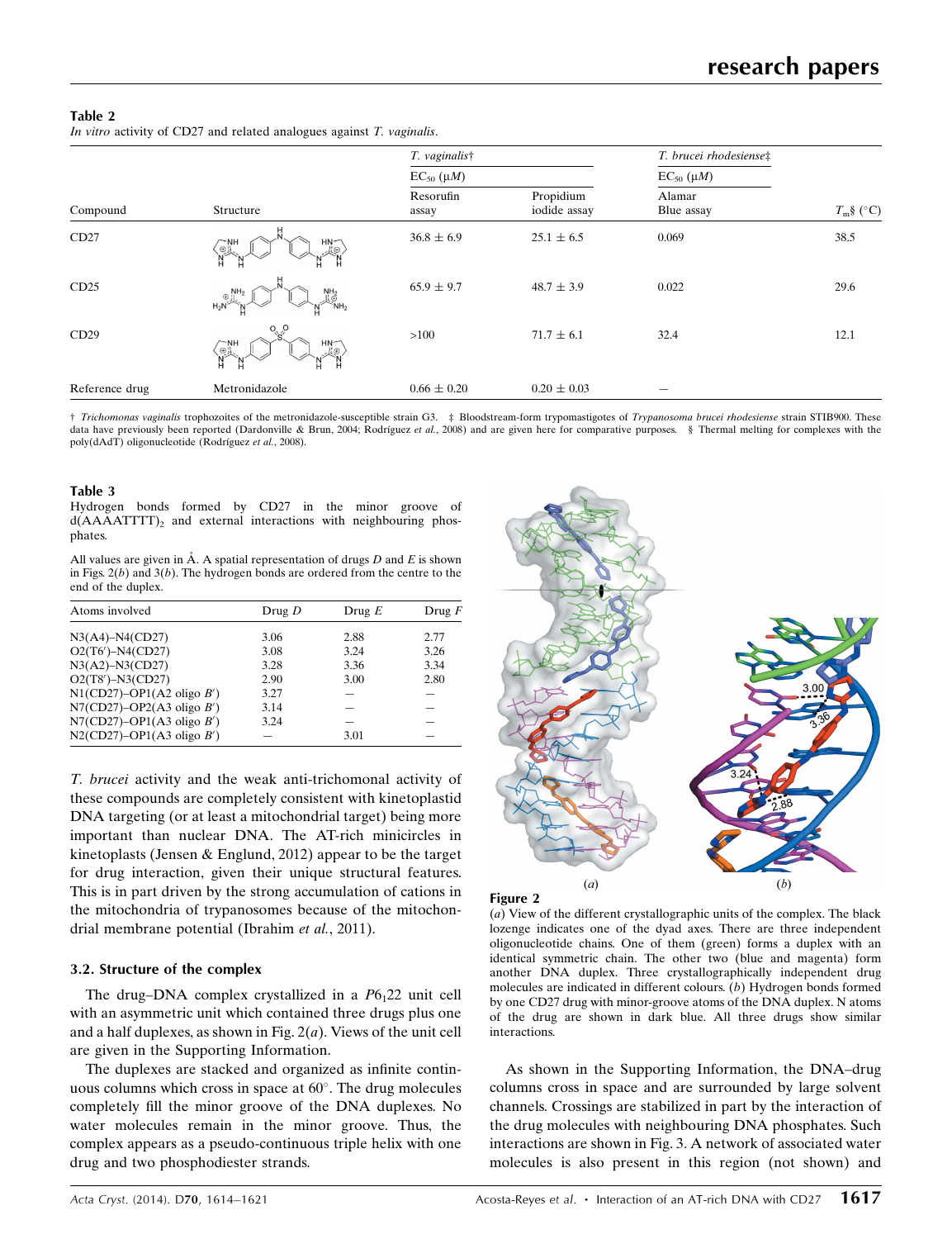## Table 2

In vitro activity of CD27 and related analogues against  $T$ . *vaginalis*.

| Compound       | Structure                                                                                                      | T. vaginalist      |                           | T. brucei rhodesiense‡ |              |
|----------------|----------------------------------------------------------------------------------------------------------------|--------------------|---------------------------|------------------------|--------------|
|                |                                                                                                                | $EC_{50}(\mu M)$   |                           | $EC_{50}(\mu M)$       |              |
|                |                                                                                                                | Resorufin<br>assay | Propidium<br>iodide assay | Alamar<br>Blue assay   | $T_m$ § (°C) |
| CD27           | $H_N \rightarrow$<br>$\widetilde{\mathbb{P}}_N$<br>N<br>H<br>Ħ                                                 | $36.8 \pm 6.9$     | $25.1 \pm 6.5$            | 0.069                  | 38.5         |
| CD25           | $\oplus$ $\prod_{j=1}^{N+1}$<br>$\overset{\mathsf{NH}_2}{\underset{\mathsf{N}\mathsf{H}_2}{\oplus}}$<br>$H_2N$ | $65.9 \pm 9.7$     | $48.7 \pm 3.9$            | 0.022                  | 29.6         |
| CD29           | $O^{O}$<br>HN <sub>1</sub><br>$\frac{1}{\sqrt{2}}\sum_{i=1}^{N}\frac{1}{i}$<br>Ľ⊕<br>Н                         | $>100$             | $71.7 \pm 6.1$            | 32.4                   | 12.1         |
| Reference drug | Metronidazole                                                                                                  | $0.66 \pm 0.20$    | $0.20 \pm 0.03$           |                        |              |

† Trichomonas vaginalis trophozoites of the metronidazole-susceptible strain G3. ‡ Bloodstream-form trypomastigotes of Trypanosoma brucei rhodesiense strain STIB900. These data have previously been reported (Dardonville & Brun, 2004; Rodríguez et al., 2008) and are given here for comparative purposes. § Thermal melting for complexes with the poly(dAdT) oligonucleotide (Rodríguez et al., 2008).

#### Table 3

Hydrogen bonds formed by CD27 in the minor groove of  $d(AAAATTTT)$ , and external interactions with neighbouring phosphates.

All values are given in  $\AA$ . A spatial representation of drugs D and E is shown in Figs.  $2(b)$  and  $3(b)$ . The hydrogen bonds are ordered from the centre to the end of the duplex.

| Atoms involved               | Drug D | Drug $E$ | Drug $F$ |
|------------------------------|--------|----------|----------|
| $N3(A4) - N4(CD27)$          | 3.06   | 2.88     | 2.77     |
| $O2(T6') - N4(CD27)$         | 3.08   | 3.24     | 3.26     |
| $N3(A2) - N3(CD27)$          | 3.28   | 3.36     | 3.34     |
| $O2(T8') - N3(CD27)$         | 2.90   | 3.00     | 2.80     |
| $N1$ (CD27)–OP1(A2 oligo B') | 3.27   |          |          |
| $N7$ (CD27)–OP2(A3 oligo B') | 3.14   |          |          |
| $N7$ (CD27)–OP1(A3 oligo B') | 3.24   |          |          |
| $N2$ (CD27)–OP1(A3 oligo B') |        | 3.01     |          |

T. brucei activity and the weak anti-trichomonal activity of these compounds are completely consistent with kinetoplastid DNA targeting (or at least a mitochondrial target) being more important than nuclear DNA. The AT-rich minicircles in kinetoplasts (Jensen & Englund, 2012) appear to be the target for drug interaction, given their unique structural features. This is in part driven by the strong accumulation of cations in the mitochondria of trypanosomes because of the mitochondrial membrane potential (Ibrahim et al., 2011).

## 3.2. Structure of the complex

The drug–DNA complex crystallized in a  $P6<sub>1</sub>22$  unit cell with an asymmetric unit which contained three drugs plus one and a half duplexes, as shown in Fig.  $2(a)$ . Views of the unit cell are given in the Supporting Information.

The duplexes are stacked and organized as infinite continuous columns which cross in space at  $60^\circ$ . The drug molecules completely fill the minor groove of the DNA duplexes. No water molecules remain in the minor groove. Thus, the complex appears as a pseudo-continuous triple helix with one drug and two phosphodiester strands.





(a) View of the different crystallographic units of the complex. The black lozenge indicates one of the dyad axes. There are three independent oligonucleotide chains. One of them (green) forms a duplex with an identical symmetric chain. The other two (blue and magenta) form another DNA duplex. Three crystallographically independent drug molecules are indicated in different colours. (b) Hydrogen bonds formed by one CD27 drug with minor-groove atoms of the DNA duplex. N atoms of the drug are shown in dark blue. All three drugs show similar interactions.

As shown in the Supporting Information, the DNA–drug columns cross in space and are surrounded by large solvent channels. Crossings are stabilized in part by the interaction of the drug molecules with neighbouring DNA phosphates. Such interactions are shown in Fig. 3. A network of associated water molecules is also present in this region (not shown) and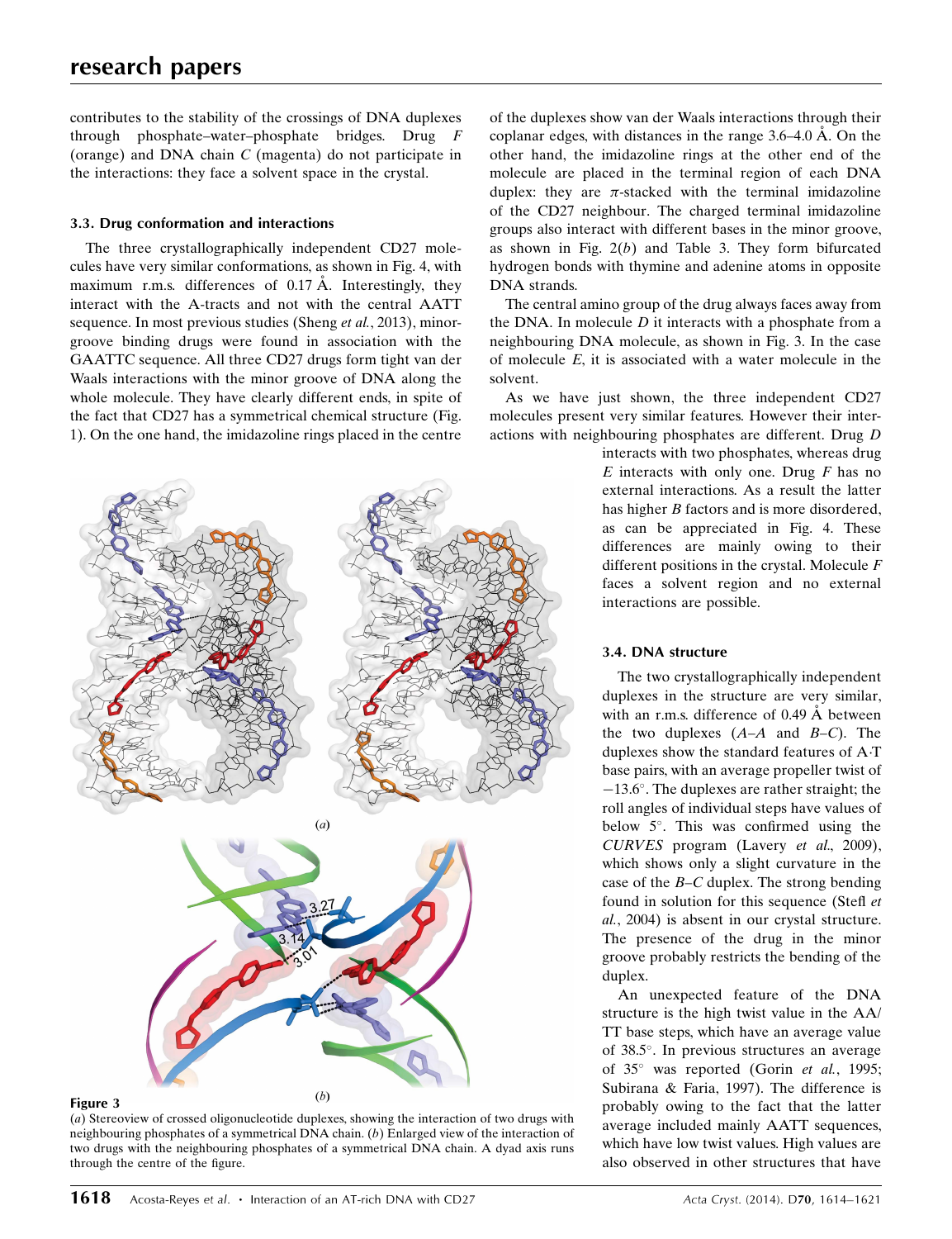# research papers

contributes to the stability of the crossings of DNA duplexes through phosphate–water–phosphate bridges. Drug F (orange) and DNA chain C (magenta) do not participate in the interactions: they face a solvent space in the crystal.

## 3.3. Drug conformation and interactions

The three crystallographically independent CD27 molecules have very similar conformations, as shown in Fig. 4, with maximum r.m.s. differences of  $0.17 \text{ Å}$ . Interestingly, they interact with the A-tracts and not with the central AATT sequence. In most previous studies (Sheng et al., 2013), minorgroove binding drugs were found in association with the GAATTC sequence. All three CD27 drugs form tight van der Waals interactions with the minor groove of DNA along the whole molecule. They have clearly different ends, in spite of the fact that CD27 has a symmetrical chemical structure (Fig. 1). On the one hand, the imidazoline rings placed in the centre



(a) Stereoview of crossed oligonucleotide duplexes, showing the interaction of two drugs with neighbouring phosphates of a symmetrical DNA chain. (b) Enlarged view of the interaction of two drugs with the neighbouring phosphates of a symmetrical DNA chain. A dyad axis runs through the centre of the figure.

of the duplexes show van der Waals interactions through their coplanar edges, with distances in the range  $3.6-4.0 \text{ Å}$ . On the other hand, the imidazoline rings at the other end of the molecule are placed in the terminal region of each DNA duplex: they are  $\pi$ -stacked with the terminal imidazoline of the CD27 neighbour. The charged terminal imidazoline groups also interact with different bases in the minor groove, as shown in Fig.  $2(b)$  and Table 3. They form bifurcated hydrogen bonds with thymine and adenine atoms in opposite DNA strands.

The central amino group of the drug always faces away from the DNA. In molecule  $D$  it interacts with a phosphate from a neighbouring DNA molecule, as shown in Fig. 3. In the case of molecule E, it is associated with a water molecule in the solvent.

As we have just shown, the three independent CD27 molecules present very similar features. However their interactions with neighbouring phosphates are different. Drug D

> interacts with two phosphates, whereas drug  $E$  interacts with only one. Drug  $F$  has no external interactions. As a result the latter has higher *B* factors and is more disordered, as can be appreciated in Fig. 4. These differences are mainly owing to their different positions in the crystal. Molecule F faces a solvent region and no external interactions are possible.

## 3.4. DNA structure

The two crystallographically independent duplexes in the structure are very similar, with an r.m.s. difference of 0.49  $\AA$  between the two duplexes  $(A-A \text{ and } B-C)$ . The duplexes show the standard features of AT base pairs, with an average propeller twist of -13.6°. The duplexes are rather straight; the roll angles of individual steps have values of below 5°. This was confirmed using the CURVES program (Lavery et al., 2009), which shows only a slight curvature in the case of the  $B-C$  duplex. The strong bending found in solution for this sequence (Stefl et al., 2004) is absent in our crystal structure. The presence of the drug in the minor groove probably restricts the bending of the duplex.

An unexpected feature of the DNA structure is the high twist value in the AA/ TT base steps, which have an average value of 38.5°. In previous structures an average of 35° was reported (Gorin et al., 1995; Subirana & Faria, 1997). The difference is probably owing to the fact that the latter average included mainly AATT sequences, which have low twist values. High values are also observed in other structures that have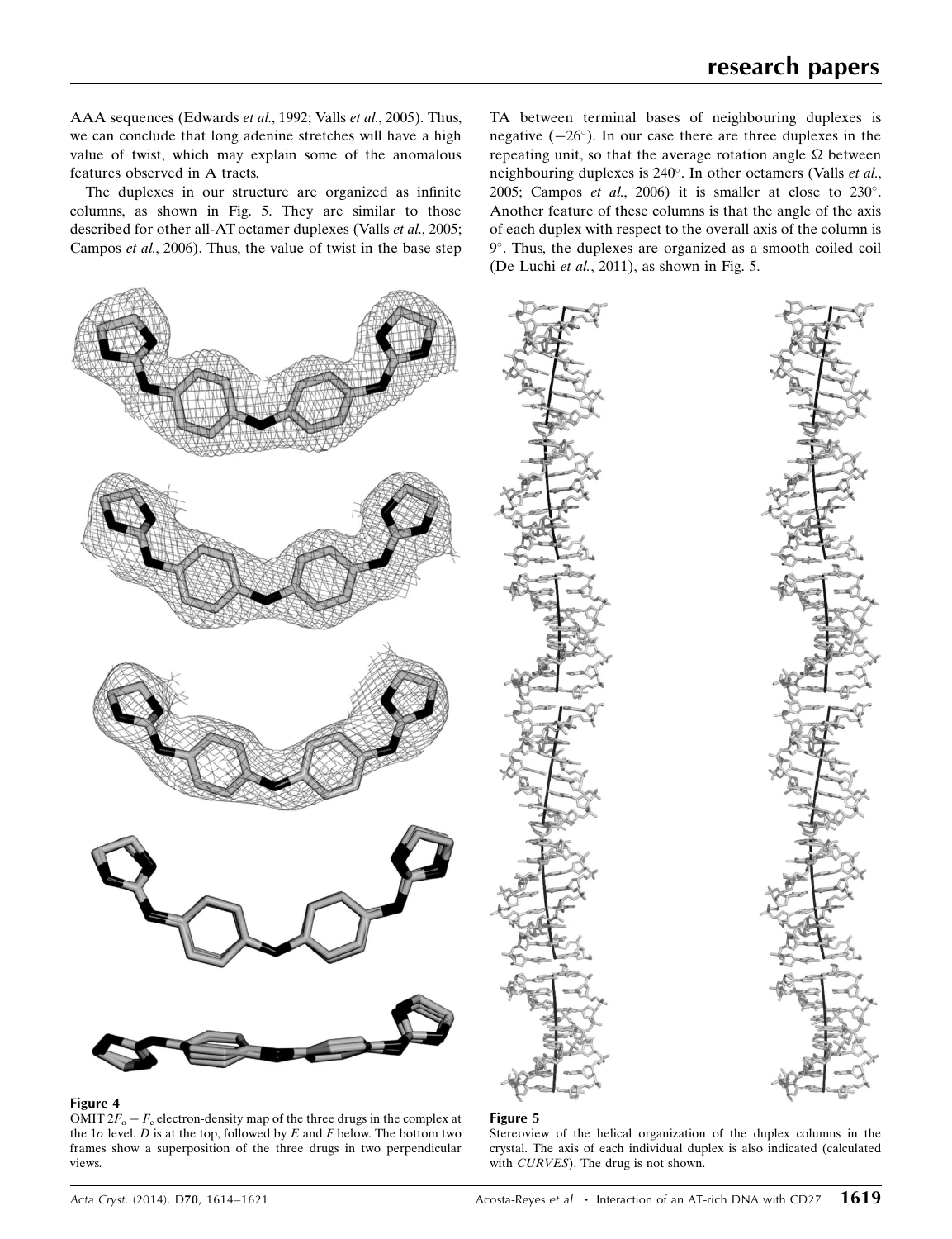AAA sequences (Edwards et al., 1992; Valls et al., 2005). Thus, we can conclude that long adenine stretches will have a high value of twist, which may explain some of the anomalous features observed in A tracts.

The duplexes in our structure are organized as infinite columns, as shown in Fig. 5. They are similar to those described for other all-AT octamer duplexes (Valls et al., 2005; Campos et al., 2006). Thus, the value of twist in the base step TA between terminal bases of neighbouring duplexes is negative  $(-26^{\circ})$ . In our case there are three duplexes in the repeating unit, so that the average rotation angle  $\Omega$  between neighbouring duplexes is 240°. In other octamers (Valls et al., 2005; Campos et al., 2006) it is smaller at close to  $230^\circ$ . Another feature of these columns is that the angle of the axis of each duplex with respect to the overall axis of the column is 9°. Thus, the duplexes are organized as a smooth coiled coil (De Luchi et al., 2011), as shown in Fig. 5.



#### Figure 4

OMIT  $2F_0 - F_c$  electron-density map of the three drugs in the complex at the  $1\sigma$  level. D is at the top, followed by E and F below. The bottom two frames show a superposition of the three drugs in two perpendicular views.





#### Figure 5

Stereoview of the helical organization of the duplex columns in the crystal. The axis of each individual duplex is also indicated (calculated with *CURVES*). The drug is not shown.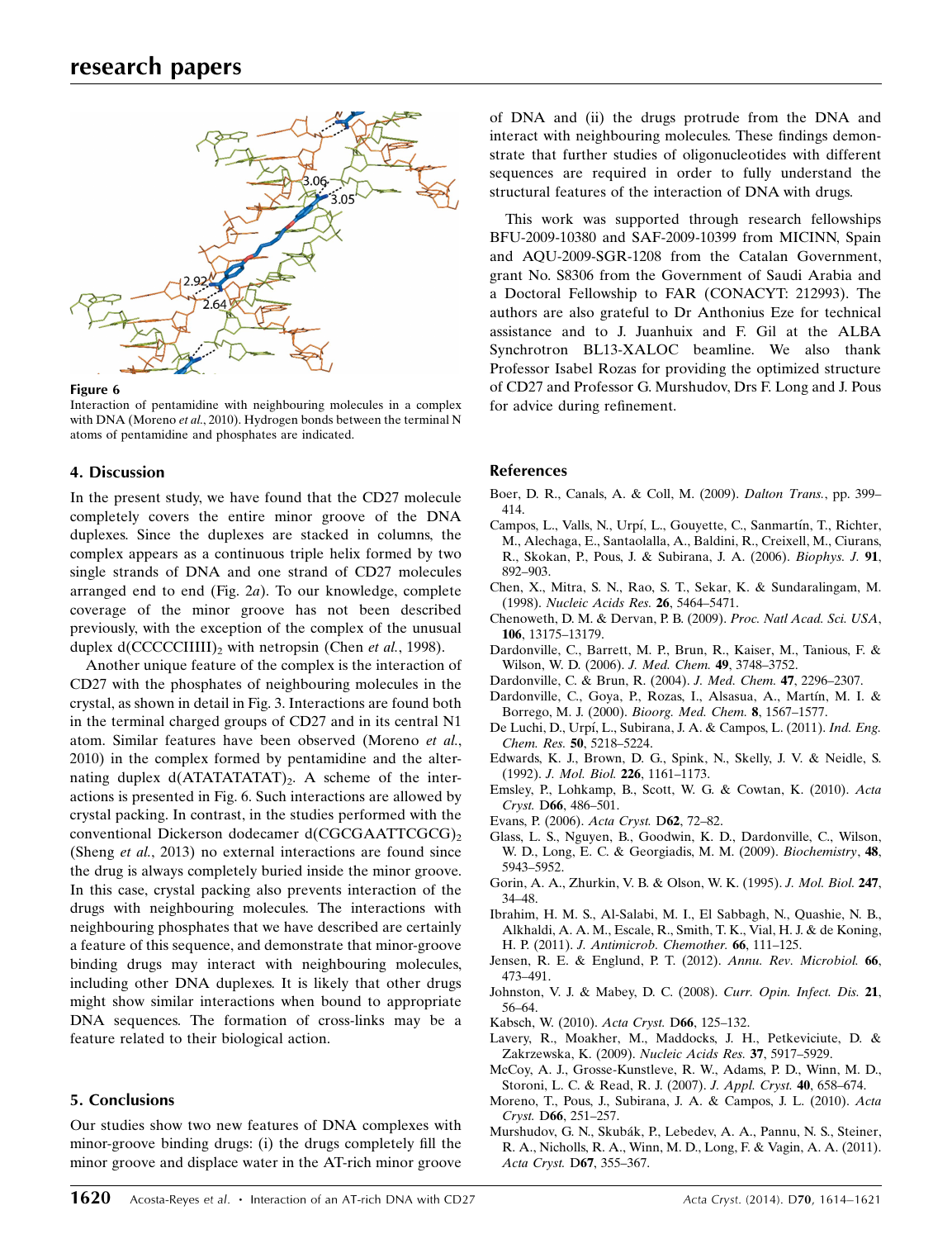

#### Figure 6

Interaction of pentamidine with neighbouring molecules in a complex with DNA (Moreno et al., 2010). Hydrogen bonds between the terminal N atoms of pentamidine and phosphates are indicated.

## 4. Discussion

In the present study, we have found that the CD27 molecule completely covers the entire minor groove of the DNA duplexes. Since the duplexes are stacked in columns, the complex appears as a continuous triple helix formed by two single strands of DNA and one strand of CD27 molecules arranged end to end (Fig. 2a). To our knowledge, complete coverage of the minor groove has not been described previously, with the exception of the complex of the unusual duplex  $d(CCCCCIIIII)_2$  with netropsin (Chen *et al.*, 1998).

Another unique feature of the complex is the interaction of CD27 with the phosphates of neighbouring molecules in the crystal, as shown in detail in Fig. 3. Interactions are found both in the terminal charged groups of CD27 and in its central N1 atom. Similar features have been observed (Moreno et al., 2010) in the complex formed by pentamidine and the alternating duplex  $d(ATATATATAT)_{2}$ . A scheme of the interactions is presented in Fig. 6. Such interactions are allowed by crystal packing. In contrast, in the studies performed with the conventional Dickerson dodecamer d(CGCGAATTCGCG)<sub>2</sub> (Sheng et al., 2013) no external interactions are found since the drug is always completely buried inside the minor groove. In this case, crystal packing also prevents interaction of the drugs with neighbouring molecules. The interactions with neighbouring phosphates that we have described are certainly a feature of this sequence, and demonstrate that minor-groove binding drugs may interact with neighbouring molecules, including other DNA duplexes. It is likely that other drugs might show similar interactions when bound to appropriate DNA sequences. The formation of cross-links may be a feature related to their biological action.

# 5. Conclusions

Our studies show two new features of DNA complexes with minor-groove binding drugs: (i) the drugs completely fill the minor groove and displace water in the AT-rich minor groove of DNA and (ii) the drugs protrude from the DNA and interact with neighbouring molecules. These findings demonstrate that further studies of oligonucleotides with different sequences are required in order to fully understand the structural features of the interaction of DNA with drugs.

This work was supported through research fellowships BFU-2009-10380 and SAF-2009-10399 from MICINN, Spain and AQU-2009-SGR-1208 from the Catalan Government, grant No. S8306 from the Government of Saudi Arabia and a Doctoral Fellowship to FAR (CONACYT: 212993). The authors are also grateful to Dr Anthonius Eze for technical assistance and to J. Juanhuix and F. Gil at the ALBA Synchrotron BL13-XALOC beamline. We also thank Professor Isabel Rozas for providing the optimized structure of CD27 and Professor G. Murshudov, Drs F. Long and J. Pous for advice during refinement.

## References

- [Boer, D. R., Canals, A. & Coll, M. \(2009\).](http://scripts.iucr.org/cgi-bin/cr.cgi?rm=pdfbb&cnor=dz5324&bbid=BB1) Dalton Trans., pp. 399– [414.](http://scripts.iucr.org/cgi-bin/cr.cgi?rm=pdfbb&cnor=dz5324&bbid=BB1)
- Campos, L., Valls, N., Urpí, L., Gouyette, C., Sanmartín, T., Richter, [M., Alechaga, E., Santaolalla, A., Baldini, R., Creixell, M., Ciurans,](http://scripts.iucr.org/cgi-bin/cr.cgi?rm=pdfbb&cnor=dz5324&bbid=BB2) [R., Skokan, P., Pous, J. & Subirana, J. A. \(2006\).](http://scripts.iucr.org/cgi-bin/cr.cgi?rm=pdfbb&cnor=dz5324&bbid=BB2) Biophys. J. 91, [892–903.](http://scripts.iucr.org/cgi-bin/cr.cgi?rm=pdfbb&cnor=dz5324&bbid=BB2)
- [Chen, X., Mitra, S. N., Rao, S. T., Sekar, K. & Sundaralingam, M.](http://scripts.iucr.org/cgi-bin/cr.cgi?rm=pdfbb&cnor=dz5324&bbid=BB3) (1998). [Nucleic Acids Res.](http://scripts.iucr.org/cgi-bin/cr.cgi?rm=pdfbb&cnor=dz5324&bbid=BB3) 26, 5464–5471.
- [Chenoweth, D. M. & Dervan, P. B. \(2009\).](http://scripts.iucr.org/cgi-bin/cr.cgi?rm=pdfbb&cnor=dz5324&bbid=BB4) Proc. Natl Acad. Sci. USA, 106[, 13175–13179.](http://scripts.iucr.org/cgi-bin/cr.cgi?rm=pdfbb&cnor=dz5324&bbid=BB4)
- [Dardonville, C., Barrett, M. P., Brun, R., Kaiser, M., Tanious, F. &](http://scripts.iucr.org/cgi-bin/cr.cgi?rm=pdfbb&cnor=dz5324&bbid=BB5) [Wilson, W. D. \(2006\).](http://scripts.iucr.org/cgi-bin/cr.cgi?rm=pdfbb&cnor=dz5324&bbid=BB5) J. Med. Chem. 49, 3748–3752.
- [Dardonville, C. & Brun, R. \(2004\).](http://scripts.iucr.org/cgi-bin/cr.cgi?rm=pdfbb&cnor=dz5324&bbid=BB6) J. Med. Chem. 47, 2296–2307.
- Dardonville, C., Goya, P., Rozas, I., Alsasua, A., Martín, M. I. & [Borrego, M. J. \(2000\).](http://scripts.iucr.org/cgi-bin/cr.cgi?rm=pdfbb&cnor=dz5324&bbid=BB7) Bioorg. Med. Chem. 8, 1567–1577.
- De Luchi, D., Urpí, L., Subirana, J. A. & Campos, L. (2011). Ind. Eng. Chem. Res. 50[, 5218–5224.](http://scripts.iucr.org/cgi-bin/cr.cgi?rm=pdfbb&cnor=dz5324&bbid=BB8)
- [Edwards, K. J., Brown, D. G., Spink, N., Skelly, J. V. & Neidle, S.](http://scripts.iucr.org/cgi-bin/cr.cgi?rm=pdfbb&cnor=dz5324&bbid=BB9) (1992). [J. Mol. Biol.](http://scripts.iucr.org/cgi-bin/cr.cgi?rm=pdfbb&cnor=dz5324&bbid=BB9) 226, 1161–1173.
- [Emsley, P., Lohkamp, B., Scott, W. G. & Cowtan, K. \(2010\).](http://scripts.iucr.org/cgi-bin/cr.cgi?rm=pdfbb&cnor=dz5324&bbid=BB10) Acta Cryst. D66[, 486–501.](http://scripts.iucr.org/cgi-bin/cr.cgi?rm=pdfbb&cnor=dz5324&bbid=BB10)
- [Evans, P. \(2006\).](http://scripts.iucr.org/cgi-bin/cr.cgi?rm=pdfbb&cnor=dz5324&bbid=BB11) Acta Cryst. D62, 72–82.
- [Glass, L. S., Nguyen, B., Goodwin, K. D., Dardonville, C., Wilson,](http://scripts.iucr.org/cgi-bin/cr.cgi?rm=pdfbb&cnor=dz5324&bbid=BB12) [W. D., Long, E. C. & Georgiadis, M. M. \(2009\).](http://scripts.iucr.org/cgi-bin/cr.cgi?rm=pdfbb&cnor=dz5324&bbid=BB12) Biochemistry, 48, [5943–5952.](http://scripts.iucr.org/cgi-bin/cr.cgi?rm=pdfbb&cnor=dz5324&bbid=BB12)
- [Gorin, A. A., Zhurkin, V. B. & Olson, W. K. \(1995\).](http://scripts.iucr.org/cgi-bin/cr.cgi?rm=pdfbb&cnor=dz5324&bbid=BB13) J. Mol. Biol. 247, [34–48.](http://scripts.iucr.org/cgi-bin/cr.cgi?rm=pdfbb&cnor=dz5324&bbid=BB13)
- [Ibrahim, H. M. S., Al-Salabi, M. I., El Sabbagh, N., Quashie, N. B.,](http://scripts.iucr.org/cgi-bin/cr.cgi?rm=pdfbb&cnor=dz5324&bbid=BB14) [Alkhaldi, A. A. M., Escale, R., Smith, T. K., Vial, H. J. & de Koning,](http://scripts.iucr.org/cgi-bin/cr.cgi?rm=pdfbb&cnor=dz5324&bbid=BB14) H. P. (2011). [J. Antimicrob. Chemother.](http://scripts.iucr.org/cgi-bin/cr.cgi?rm=pdfbb&cnor=dz5324&bbid=BB14) 66, 111–125.
- [Jensen, R. E. & Englund, P. T. \(2012\).](http://scripts.iucr.org/cgi-bin/cr.cgi?rm=pdfbb&cnor=dz5324&bbid=BB15) Annu. Rev. Microbiol. 66, [473–491.](http://scripts.iucr.org/cgi-bin/cr.cgi?rm=pdfbb&cnor=dz5324&bbid=BB15)
- [Johnston, V. J. & Mabey, D. C. \(2008\).](http://scripts.iucr.org/cgi-bin/cr.cgi?rm=pdfbb&cnor=dz5324&bbid=BB16) Curr. Opin. Infect. Dis. 21, [56–64.](http://scripts.iucr.org/cgi-bin/cr.cgi?rm=pdfbb&cnor=dz5324&bbid=BB16)
- [Kabsch, W. \(2010\).](http://scripts.iucr.org/cgi-bin/cr.cgi?rm=pdfbb&cnor=dz5324&bbid=BB17) Acta Cryst. D66, 125–132.
- [Lavery, R., Moakher, M., Maddocks, J. H., Petkeviciute, D. &](http://scripts.iucr.org/cgi-bin/cr.cgi?rm=pdfbb&cnor=dz5324&bbid=BB18) [Zakrzewska, K. \(2009\).](http://scripts.iucr.org/cgi-bin/cr.cgi?rm=pdfbb&cnor=dz5324&bbid=BB18) Nucleic Acids Res. 37, 5917–5929.
- [McCoy, A. J., Grosse-Kunstleve, R. W., Adams, P. D., Winn, M. D.,](http://scripts.iucr.org/cgi-bin/cr.cgi?rm=pdfbb&cnor=dz5324&bbid=BB19) [Storoni, L. C. & Read, R. J. \(2007\).](http://scripts.iucr.org/cgi-bin/cr.cgi?rm=pdfbb&cnor=dz5324&bbid=BB19) J. Appl. Cryst. 40, 658–674.
- [Moreno, T., Pous, J., Subirana, J. A. & Campos, J. L. \(2010\).](http://scripts.iucr.org/cgi-bin/cr.cgi?rm=pdfbb&cnor=dz5324&bbid=BB20) Acta Cryst. D66[, 251–257.](http://scripts.iucr.org/cgi-bin/cr.cgi?rm=pdfbb&cnor=dz5324&bbid=BB20)
- Murshudov, G. N., Skubák, P., Lebedev, A. A., Pannu, N. S., Steiner, [R. A., Nicholls, R. A., Winn, M. D., Long, F. & Vagin, A. A. \(2011\).](http://scripts.iucr.org/cgi-bin/cr.cgi?rm=pdfbb&cnor=dz5324&bbid=BB21) [Acta Cryst.](http://scripts.iucr.org/cgi-bin/cr.cgi?rm=pdfbb&cnor=dz5324&bbid=BB21) D67, 355–367.